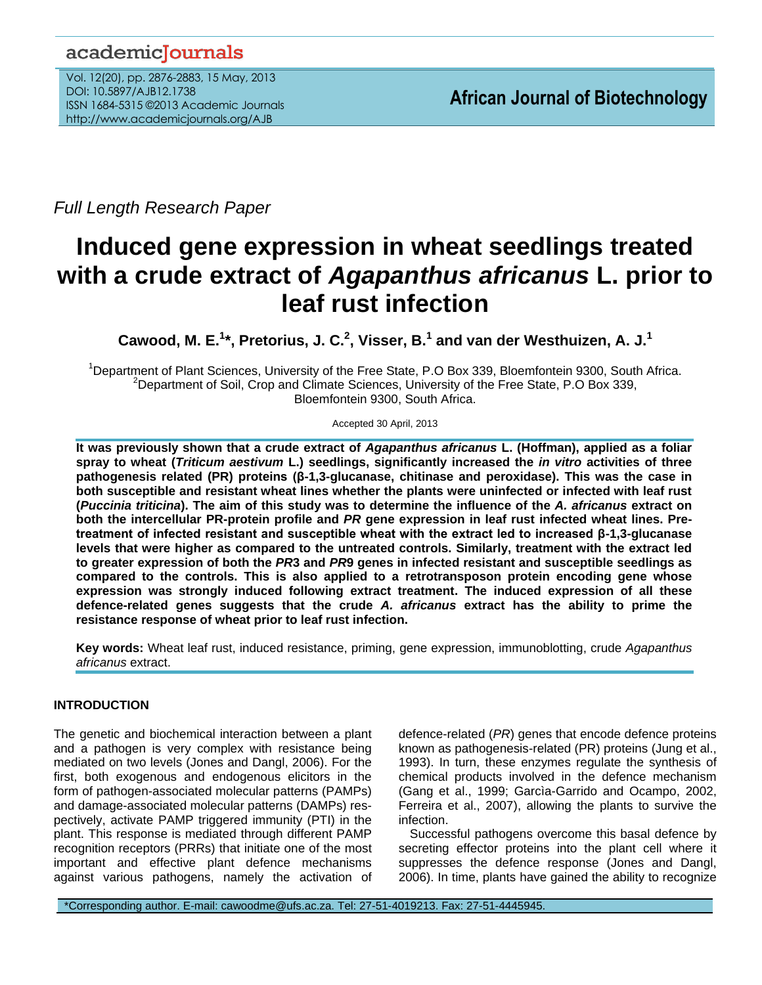# academicJournals

Vol. 12(20), pp. 2876-2883, 15 May, 2013 DOI: 10.5897/AJB12.1738 ISSN 1684-5315 ©2013 Academic Journals http://www.academicjournals.org/AJB

*Full Length Research Paper*

# **Induced gene expression in wheat seedlings treated with a crude extract of** *Agapanthus africanus* **L. prior to leaf rust infection**

**Cawood, M. E.<sup>1</sup> \*, Pretorius, J. C.<sup>2</sup> , Visser, B. 1 and van der Westhuizen, A. J.<sup>1</sup>**

<sup>1</sup>Department of Plant Sciences, University of the Free State, P.O Box 339, Bloemfontein 9300, South Africa. <sup>2</sup>Department of Soil, Crop and Climate Sciences, University of the Free State, P.O Box 339, Bloemfontein 9300, South Africa.

Accepted 30 April, 2013

**It was previously shown that a crude extract of** *Agapanthus africanus* **L. (Hoffman), applied as a foliar spray to wheat (***Triticum aestivum* **L.) seedlings, significantly increased the** *in vitro* **activities of three pathogenesis related (PR) proteins (β-1,3-glucanase, chitinase and peroxidase). This was the case in both susceptible and resistant wheat lines whether the plants were uninfected or infected with leaf rust (***Puccinia triticina***). The aim of this study was to determine the influence of the** *A. africanus* **extract on both the intercellular PR-protein profile and** *PR* **gene expression in leaf rust infected wheat lines. Pretreatment of infected resistant and susceptible wheat with the extract led to increased β-1,3-glucanase levels that were higher as compared to the untreated controls. Similarly, treatment with the extract led to greater expression of both the** *PR***3 and** *PR***9 genes in infected resistant and susceptible seedlings as compared to the controls. This is also applied to a retrotransposon protein encoding gene whose expression was strongly induced following extract treatment. The induced expression of all these defence-related genes suggests that the crude** *A. africanus* **extract has the ability to prime the resistance response of wheat prior to leaf rust infection.** 

**Key words:** Wheat leaf rust, induced resistance, priming, gene expression, immunoblotting, crude *Agapanthus africanus* extract.

# **INTRODUCTION**

The genetic and biochemical interaction between a plant and a pathogen is very complex with resistance being mediated on two levels (Jones and Dangl, 2006). For the first, both exogenous and endogenous elicitors in the form of pathogen-associated molecular patterns (PAMPs) and damage-associated molecular patterns (DAMPs) respectively, activate PAMP triggered immunity (PTI) in the plant. This response is mediated through different PAMP recognition receptors (PRRs) that initiate one of the most important and effective plant defence mechanisms against various pathogens, namely the activation of

defence-related (*PR*) genes that encode defence proteins known as pathogenesis-related (PR) proteins (Jung et al., 1993). In turn, these enzymes regulate the synthesis of chemical products involved in the defence mechanism (Gang et al., 1999; Garcìa-Garrido and Ocampo, 2002, Ferreira et al., 2007), allowing the plants to survive the infection.

Successful pathogens overcome this basal defence by secreting effector proteins into the plant cell where it suppresses the defence response (Jones and Dangl, 2006). In time, plants have gained the ability to recognize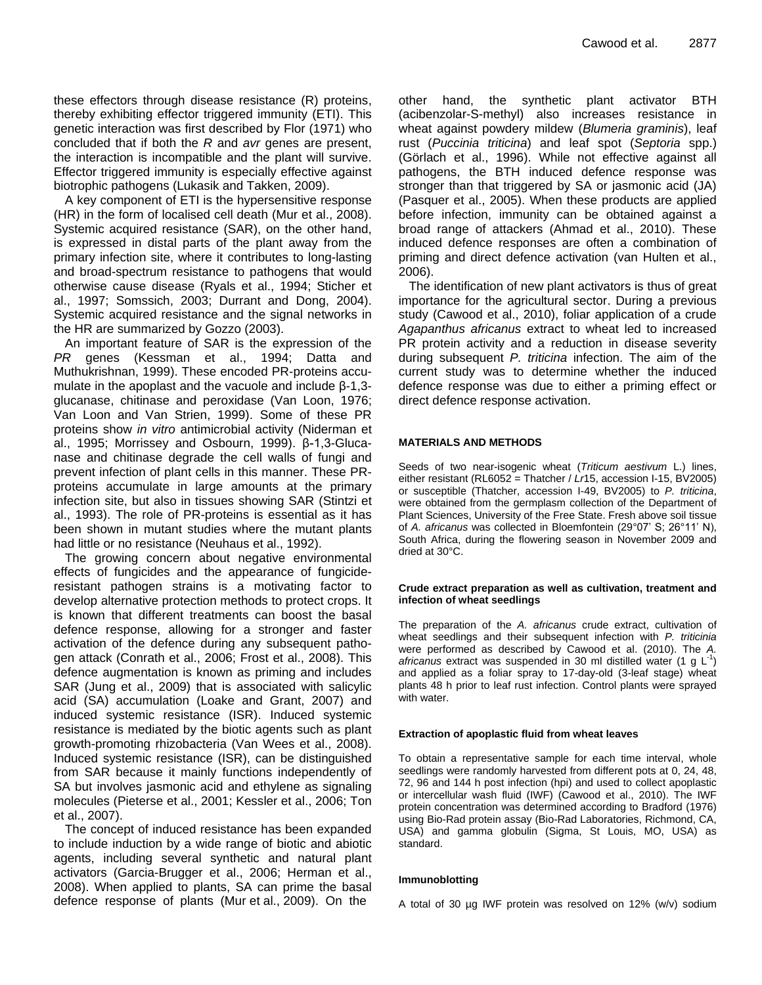these effectors through disease resistance (R) proteins, thereby exhibiting effector triggered immunity (ETI). This genetic interaction was first described by Flor (1971) who concluded that if both the *R* and *avr* genes are present, the interaction is incompatible and the plant will survive. Effector triggered immunity is especially effective against biotrophic pathogens (Lukasik and Takken, 2009).

A key component of ETI is the hypersensitive response (HR) in the form of localised cell death (Mur et al., 2008). Systemic acquired resistance (SAR), on the other hand, is expressed in distal parts of the plant away from the primary infection site, where it contributes to long-lasting and broad-spectrum resistance to pathogens that would otherwise cause disease (Ryals et al., 1994; Sticher et al., 1997; Somssich, 2003; Durrant and Dong, 2004). Systemic acquired resistance and the signal networks in the HR are summarized by Gozzo (2003).

An important feature of SAR is the expression of the *PR* genes (Kessman et al., 1994; Datta and Muthukrishnan, 1999). These encoded PR-proteins accumulate in the apoplast and the vacuole and include β-1,3 glucanase, chitinase and peroxidase (Van Loon, 1976; Van Loon and Van Strien, 1999). Some of these PR proteins show *in vitro* antimicrobial activity (Niderman et al., 1995; Morrissey and Osbourn, 1999). β-1,3-Glucanase and chitinase degrade the cell walls of fungi and prevent infection of plant cells in this manner. These PRproteins accumulate in large amounts at the primary infection site, but also in tissues showing SAR (Stintzi et al., 1993). The role of PR-proteins is essential as it has been shown in mutant studies where the mutant plants had little or no resistance (Neuhaus et al., 1992).

The growing concern about negative environmental effects of fungicides and the appearance of fungicideresistant pathogen strains is a motivating factor to develop alternative protection methods to protect crops. It is known that different treatments can boost the basal defence response, allowing for a stronger and faster activation of the defence during any subsequent pathogen attack (Conrath et al., 2006; Frost et al., 2008). This defence augmentation is known as priming and includes SAR (Jung et al., 2009) that is associated with salicylic acid (SA) accumulation [\(Loake and Grant, 2007\)](http://www.sciencedirect.com/science/article/pii/S0176161711000095#bib0130) and induced systemic resistance (ISR). Induced systemic resistance is mediated by the biotic agents such as plant growth-promoting rhizobacteria (Van Wees et al., 2008). Induced systemic resistance (ISR), can be distinguished from SAR because it mainly functions independently of SA but involves jasmonic acid and ethylene as signaling molecules [\(Pieterse et al., 2001;](http://www.sciencedirect.com/science/article/pii/S0176161711000095#bib0185) Kessler et al., 2006; Ton et al., 2007).

The concept of induced resistance has been expanded to include induction by a wide range of biotic and abiotic agents, including several synthetic and natural plant activators (Garcia-Brugger et al., 2006; Herman et al., 2008). When applied to plants, SA can prime the basal defence response of plants (Mur et al., 2009). On the

other hand, the synthetic plant activator BTH (acibenzolar-S-methyl) also increases resistance in wheat against powdery mildew (*Blumeria graminis*), leaf rust (*Puccinia triticina*) and leaf spot (*Septoria* spp.) (Görlach et al., 1996). While not effective against all pathogens, the BTH induced defence response was stronger than that triggered by SA or jasmonic acid (JA) (Pasquer et al., 2005). When these products are applied before infection, immunity can be obtained against a broad range of attackers (Ahmad et al., 2010). These induced defence responses are often a combination of priming and direct defence activation (van Hulten et al., 2006).

 The identification of new plant activators is thus of great importance for the agricultural sector. During a previous study (Cawood et al., 2010), foliar application of a crude *Agapanthus africanus* extract to wheat led to increased PR protein activity and a reduction in disease severity during subsequent *P. triticina* infection. The aim of the current study was to determine whether the induced defence response was due to either a priming effect or direct defence response activation.

#### **MATERIALS AND METHODS**

Seeds of two near-isogenic wheat (*Triticum aestivum* L.) lines, either resistant (RL6052 = Thatcher / *Lr*15, accession I-15, BV2005) or susceptible (Thatcher, accession I-49, BV2005) to *P. triticina*, were obtained from the germplasm collection of the Department of Plant Sciences, University of the Free State. Fresh above soil tissue of *A. africanus* was collected in Bloemfontein (29°07' S; 26°11' N), South Africa, during the flowering season in November 2009 and dried at 30°C.

#### **Crude extract preparation as well as cultivation, treatment and infection of wheat seedlings**

The preparation of the *A. africanus* crude extract, cultivation of wheat seedlings and their subsequent infection with *P. triticinia*  were performed as described by Cawood et al. (2010). The *A. africanus* extract was suspended in 30 ml distilled water  $(1 g L<sup>-1</sup>)$ and applied as a foliar spray to 17-day-old (3-leaf stage) wheat plants 48 h prior to leaf rust infection. Control plants were sprayed with water.

#### **Extraction of apoplastic fluid from wheat leaves**

To obtain a representative sample for each time interval, whole seedlings were randomly harvested from different pots at 0, 24, 48, 72, 96 and 144 h post infection (hpi) and used to collect apoplastic or intercellular wash fluid (IWF) (Cawood et al., 2010). The IWF protein concentration was determined according to Bradford (1976) using Bio-Rad protein assay (Bio-Rad Laboratories, Richmond, CA, USA) and gamma globulin (Sigma, St Louis, MO, USA) as standard.

#### **Immunoblotting**

A total of 30 µg IWF protein was resolved on 12% (w/v) sodium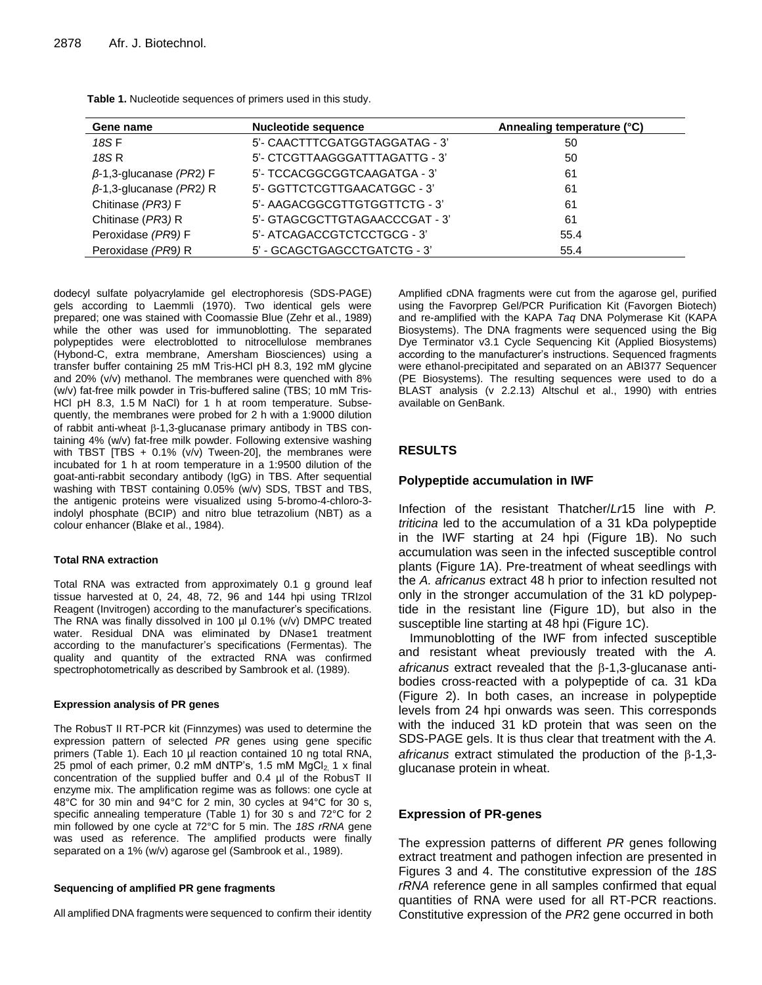| Gene name                      | <b>Nucleotide sequence</b>     | Annealing temperature (°C) |
|--------------------------------|--------------------------------|----------------------------|
| 18S F                          | 5'- CAACTTTCGATGGTAGGATAG - 3' | 50                         |
| 18S R                          | 5'- CTCGTTAAGGGATTTAGATTG - 3' | 50                         |
| $\beta$ -1,3-glucanase (PR2) F | 5'- TCCACGGCGGTCAAGATGA - 3'   | 61                         |
| $\beta$ -1,3-glucanase (PR2) R | 5'- GGTTCTCGTTGAACATGGC - 3'   | 61                         |
| Chitinase (PR3) F              | 5'- AAGACGGCGTTGTGGTTCTG - 3'  | 61                         |
| Chitinase (PR3) R              | 5'- GTAGCGCTTGTAGAACCCGAT - 3' | 61                         |
| Peroxidase (PR9) F             | 5'- ATCAGACCGTCTCCTGCG - 3'    | 55.4                       |
| Peroxidase (PR9) R             | 5' - GCAGCTGAGCCTGATCTG - 3'   | 55.4                       |

**Table 1.** Nucleotide sequences of primers used in this study.

dodecyl sulfate polyacrylamide gel electrophoresis (SDS-PAGE) gels according to Laemmli (1970). Two identical gels were prepared; one was stained with Coomassie Blue (Zehr et al., 1989) while the other was used for immunoblotting. The separated polypeptides were electroblotted to nitrocellulose membranes (Hybond-C, extra membrane, Amersham Biosciences) using a transfer buffer containing 25 mM Tris-HCl pH 8.3, 192 mM glycine and 20% (v/v) methanol. The membranes were quenched with 8% (w/v) fat-free milk powder in Tris-buffered saline (TBS; 10 mM Tris-HCl pH 8.3, 1.5 M NaCl) for 1 h at room temperature. Subsequently, the membranes were probed for 2 h with a 1:9000 dilution of rabbit anti-wheat  $\beta$ -1,3-glucanase primary antibody in TBS containing 4% (w/v) fat-free milk powder. Following extensive washing with TBST [TBS  $+$  0.1% (v/v) Tween-20], the membranes were incubated for 1 h at room temperature in a 1:9500 dilution of the goat-anti-rabbit secondary antibody (IgG) in TBS. After sequential washing with TBST containing 0.05% (w/v) SDS, TBST and TBS, the antigenic proteins were visualized using 5-bromo-4-chloro-3 indolyl phosphate (BCIP) and nitro blue tetrazolium (NBT) as a colour enhancer (Blake et al., 1984).

#### **Total RNA extraction**

Total RNA was extracted from approximately 0.1 g ground leaf tissue harvested at 0, 24, 48, 72, 96 and 144 hpi using TRIzol Reagent (Invitrogen) according to the manufacturer's specifications. The RNA was finally dissolved in 100 µl 0.1% (v/v) DMPC treated water. Residual DNA was eliminated by DNase1 treatment according to the manufacturer's specifications (Fermentas). The quality and quantity of the extracted RNA was confirmed spectrophotometrically as described by Sambrook et al. (1989).

#### **Expression analysis of PR genes**

The RobusT II RT-PCR kit (Finnzymes) was used to determine the expression pattern of selected *PR* genes using gene specific primers (Table 1). Each 10 µl reaction contained 10 ng total RNA, 25 pmol of each primer, 0.2 mM dNTP's, 1.5 mM  $MgCl<sub>2</sub>$ , 1 x final concentration of the supplied buffer and 0.4 µl of the RobusT II enzyme mix. The amplification regime was as follows: one cycle at 48°C for 30 min and 94°C for 2 min, 30 cycles at 94°C for 30 s, specific annealing temperature (Table 1) for 30 s and 72°C for 2 min followed by one cycle at 72°C for 5 min. The *18S rRNA* gene was used as reference. The amplified products were finally separated on a 1% (w/v) agarose gel (Sambrook et al., 1989).

#### **Sequencing of amplified PR gene fragments**

All amplified DNA fragments were sequenced to confirm their identity

Amplified cDNA fragments were cut from the agarose gel, purified using the Favorprep Gel/PCR Purification Kit (Favorgen Biotech) and re-amplified with the KAPA *Taq* DNA Polymerase Kit (KAPA Biosystems). The DNA fragments were sequenced using the Big Dye Terminator v3.1 Cycle Sequencing Kit (Applied Biosystems) according to the manufacturer's instructions. Sequenced fragments were ethanol-precipitated and separated on an ABI377 Sequencer (PE Biosystems). The resulting sequences were used to do a BLAST analysis (v 2.2.13) Altschul et al., 1990) with entries available on GenBank.

# **RESULTS**

### **Polypeptide accumulation in IWF**

Infection of the resistant Thatcher/*Lr*15 line with *P. triticina* led to the accumulation of a 31 kDa polypeptide in the IWF starting at 24 hpi (Figure 1B). No such accumulation was seen in the infected susceptible control plants (Figure 1A). Pre-treatment of wheat seedlings with the *A. africanus* extract 48 h prior to infection resulted not only in the stronger accumulation of the 31 kD polypeptide in the resistant line (Figure 1D), but also in the susceptible line starting at 48 hpi (Figure 1C).

Immunoblotting of the IWF from infected susceptible and resistant wheat previously treated with the *A.*   $a$ *fricanus* extract revealed that the  $\beta$ -1,3-glucanase antibodies cross-reacted with a polypeptide of ca. 31 kDa (Figure 2). In both cases, an increase in polypeptide levels from 24 hpi onwards was seen. This corresponds with the induced 31 kD protein that was seen on the SDS-PAGE gels. It is thus clear that treatment with the *A. africanus* extract stimulated the production of the  $\beta$ -1,3glucanase protein in wheat.

## **Expression of PR-genes**

The expression patterns of different *PR* genes following extract treatment and pathogen infection are presented in Figures 3 and 4. The constitutive expression of the *18S rRNA* reference gene in all samples confirmed that equal quantities of RNA were used for all RT-PCR reactions. Constitutive expression of the *PR*2 gene occurred in both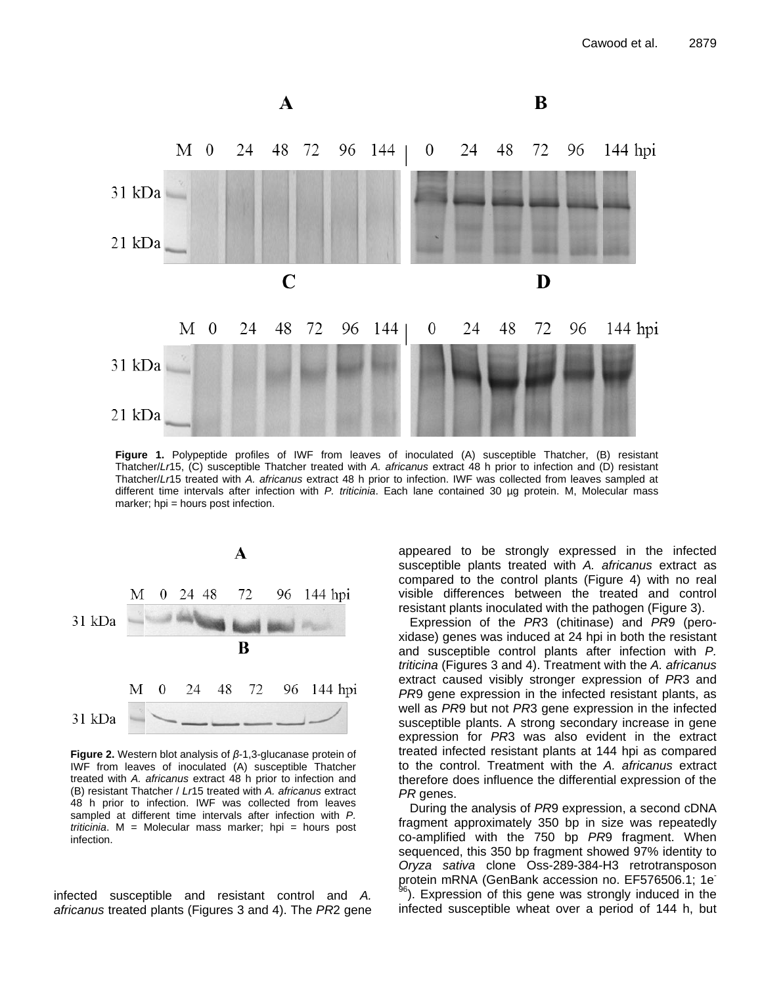

**Figure 1.** Polypeptide profiles of IWF from leaves of inoculated (A) susceptible Thatcher, (B) resistant Thatcher/*Lr*15, (C) susceptible Thatcher treated with *A. africanus* extract 48 h prior to infection and (D) resistant Thatcher/*Lr*15 treated with *A. africanus* extract 48 h prior to infection. IWF was collected from leaves sampled at different time intervals after infection with *P. triticinia*. Each lane contained 30 µg protein. M, Molecular mass marker; hpi = hours post infection.



**Figure 2.** Western blot analysis of *β*-1,3-glucanase protein of IWF from leaves of inoculated (A) susceptible Thatcher treated with *A. africanus* extract 48 h prior to infection and (B) resistant Thatcher / *Lr*15 treated with *A. africanus* extract 48 h prior to infection. IWF was collected from leaves sampled at different time intervals after infection with *P. triticinia*. M = Molecular mass marker; hpi = hours post infection.

infected susceptible and resistant control and *A. africanus* treated plants (Figures 3 and 4). The *PR*2 gene appeared to be strongly expressed in the infected susceptible plants treated with *A. africanus* extract as compared to the control plants (Figure 4) with no real visible differences between the treated and control resistant plants inoculated with the pathogen (Figure 3).

Expression of the *PR*3 (chitinase) and *PR*9 (peroxidase) genes was induced at 24 hpi in both the resistant and susceptible control plants after infection with *P. triticina* (Figures 3 and 4). Treatment with the *A. africanus* extract caused visibly stronger expression of *PR*3 and *PR*9 gene expression in the infected resistant plants, as well as *PR*9 but not *PR*3 gene expression in the infected susceptible plants. A strong secondary increase in gene expression for *PR*3 was also evident in the extract treated infected resistant plants at 144 hpi as compared to the control. Treatment with the *A. africanus* extract therefore does influence the differential expression of the *PR* genes.

During the analysis of *PR*9 expression, a second cDNA fragment approximately 350 bp in size was repeatedly co-amplified with the 750 bp *PR*9 fragment. When sequenced, this 350 bp fragment showed 97% identity to *Oryza sativa* clone Oss-289-384-H3 retrotransposon protein mRNA (GenBank accession no. EF576506.1; 1e - <sup>96</sup>). Expression of this gene was strongly induced in the infected susceptible wheat over a period of 144 h, but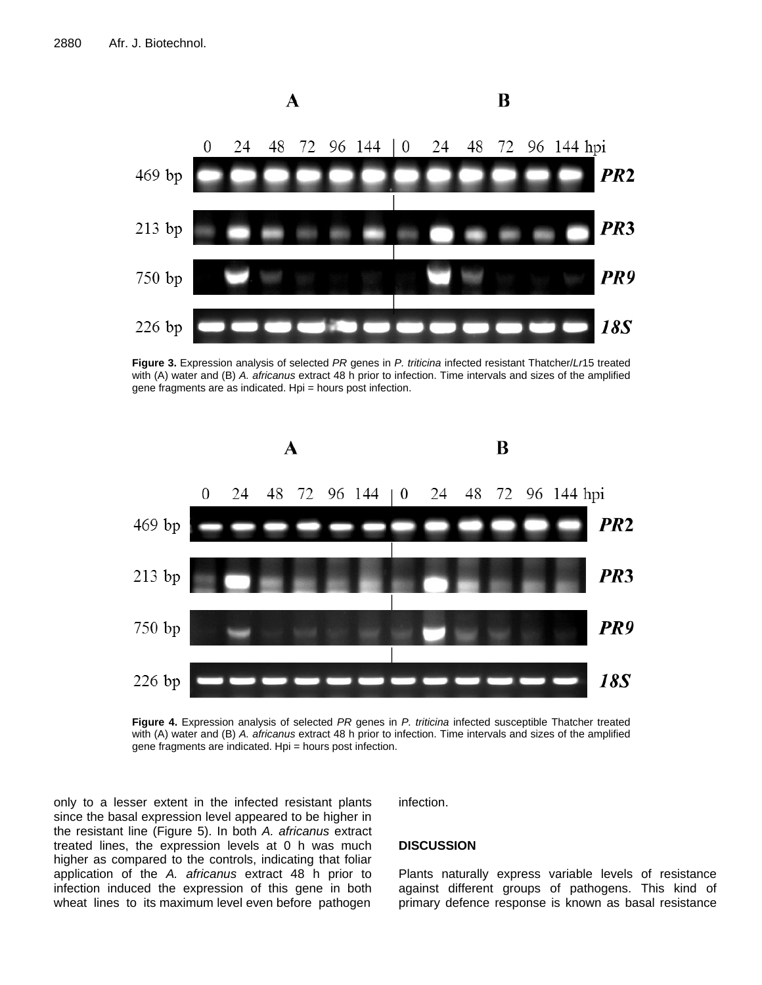

**Figure 3.** Expression analysis of selected *PR* genes in *P. triticina* infected resistant Thatcher/*Lr*15 treated with (A) water and (B) *A. africanus* extract 48 h prior to infection. Time intervals and sizes of the amplified gene fragments are as indicated. Hpi = hours post infection.



**Figure 4.** Expression analysis of selected *PR* genes in *P. triticina* infected susceptible Thatcher treated with (A) water and (B) *A. africanus* extract 48 h prior to infection. Time intervals and sizes of the amplified gene fragments are indicated. Hpi = hours post infection.

only to a lesser extent in the infected resistant plants since the basal expression level appeared to be higher in the resistant line (Figure 5). In both *A. africanus* extract treated lines, the expression levels at 0 h was much higher as compared to the controls, indicating that foliar application of the *A. africanus* extract 48 h prior to infection induced the expression of this gene in both wheat lines to its maximum level even before pathogen infection.

#### **DISCUSSION**

Plants naturally express variable levels of resistance against different groups of pathogens. This kind of primary defence response is known as basal resistance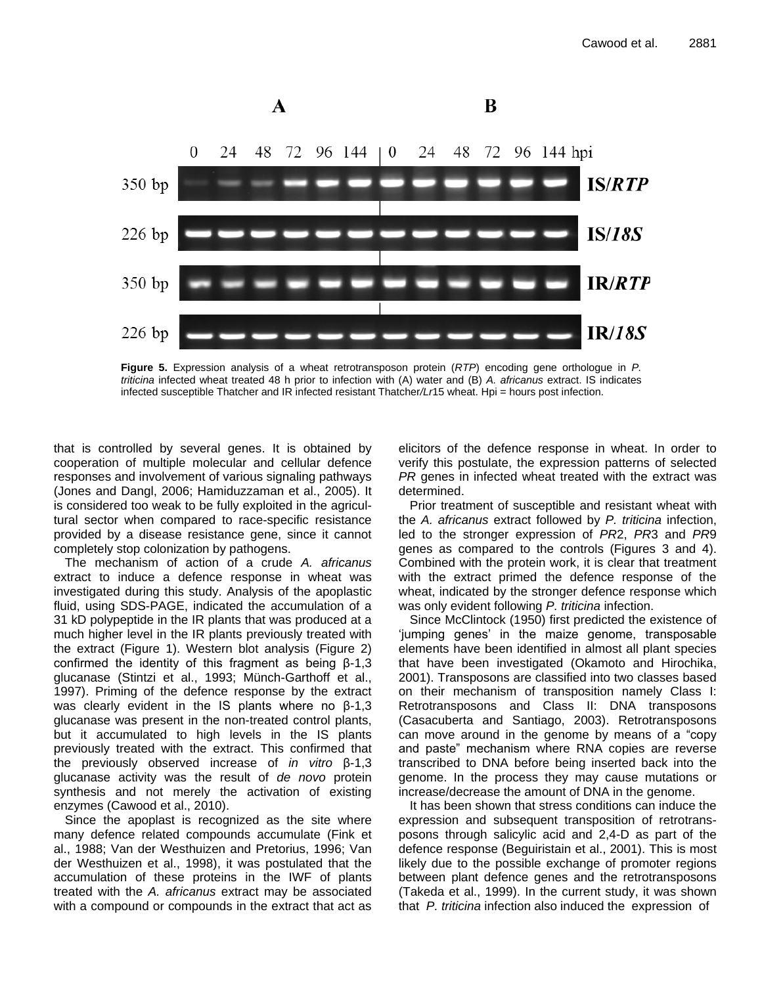

**Figure 5.** Expression analysis of a wheat retrotransposon protein (*RTP*) encoding gene orthologue in *P. triticina* infected wheat treated 48 h prior to infection with (A) water and (B) *A. africanus* extract. IS indicates infected susceptible Thatcher and IR infected resistant Thatcher*/Lr*15 wheat. Hpi = hours post infection.

that is controlled by several genes. It is obtained by cooperation of multiple molecular and cellular defence responses and involvement of various signaling pathways (Jones and Dangl, 2006; [Hamiduzzaman et al., 2005\)](http://www.sciencedirect.com/science/article/pii/S0176161711000095#bib0110). It is considered too weak to be fully exploited in the agricultural sector when compared to race-specific resistance provided by a disease resistance gene, since it cannot completely stop colonization by pathogens.

The mechanism of action of a crude *A. africanus* extract to induce a defence response in wheat was investigated during this study. Analysis of the apoplastic fluid, using SDS-PAGE, indicated the accumulation of a 31 kD polypeptide in the IR plants that was produced at a much higher level in the IR plants previously treated with the extract (Figure 1). Western blot analysis (Figure 2) confirmed the identity of this fragment as being β-1,3 glucanase (Stintzi et al., 1993; Münch-Garthoff et al., 1997). Priming of the defence response by the extract was clearly evident in the IS plants where no β-1,3 glucanase was present in the non-treated control plants, but it accumulated to high levels in the IS plants previously treated with the extract. This confirmed that the previously observed increase of *in vitro* β-1,3 glucanase activity was the result of *de novo* protein synthesis and not merely the activation of existing enzymes (Cawood et al., 2010).

Since the apoplast is recognized as the site where many defence related compounds accumulate (Fink et al., 1988; Van der Westhuizen and Pretorius, 1996; Van der Westhuizen et al., 1998), it was postulated that the accumulation of these proteins in the IWF of plants treated with the *A. africanus* extract may be associated with a compound or compounds in the extract that act as elicitors of the defence response in wheat. In order to verify this postulate, the expression patterns of selected *PR* genes in infected wheat treated with the extract was determined.

Prior treatment of susceptible and resistant wheat with the *A. africanus* extract followed by *P. triticina* infection, led to the stronger expression of *PR*2, *PR*3 and *PR*9 genes as compared to the controls (Figures 3 and 4). Combined with the protein work, it is clear that treatment with the extract primed the defence response of the wheat, indicated by the stronger defence response which was only evident following *P. triticina* infection.

Since McClintock (1950) first predicted the existence of 'jumping genes' in the maize genome, transposable elements have been identified in almost all plant species that have been investigated (Okamoto and Hirochika, 2001). Transposons are classified into two classes based on their mechanism of transposition namely Class I: Retrotransposons and Class II: DNA transposons (Casacuberta and Santiago, 2003). Retrotransposons can move around in the genome by means of a "copy and paste" mechanism where RNA copies are reverse transcribed to DNA before being inserted back into the genome. In the process they may cause mutations or increase/decrease the amount of DNA in the genome.

It has been shown that stress conditions can induce the expression and subsequent transposition of retrotransposons through salicylic acid and 2,4-D as part of the defence response (Beguiristain et al., 2001). This is most likely due to the possible exchange of promoter regions between plant defence genes and the retrotransposons (Takeda et al., 1999). In the current study, it was shown that *P. triticina* infection also induced the expression of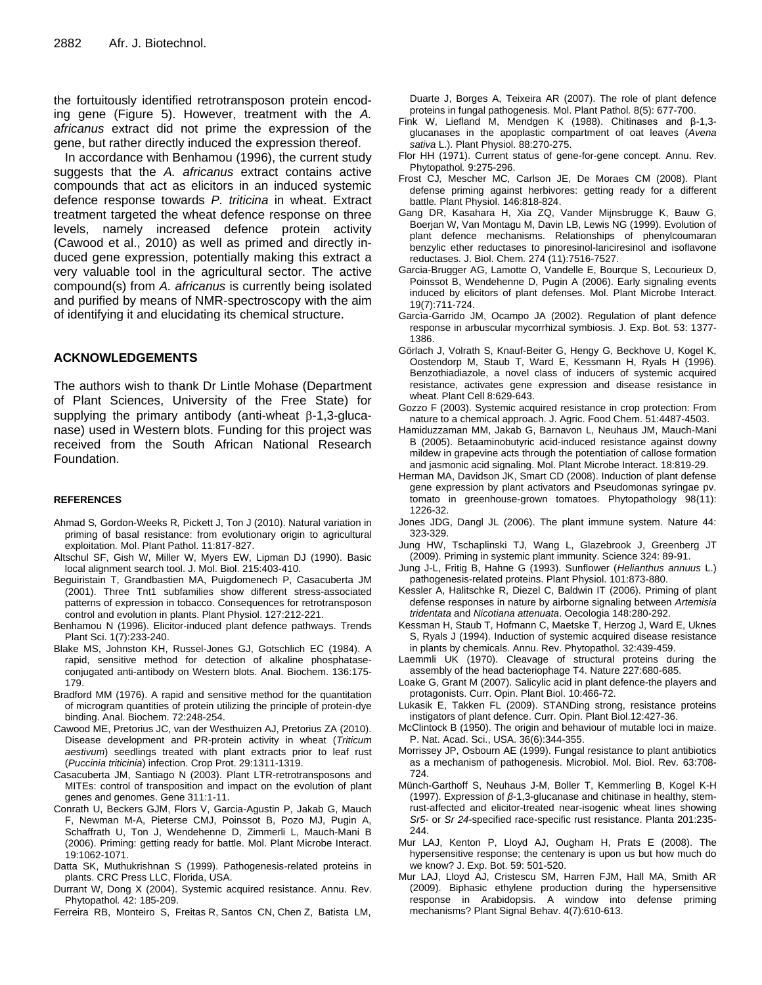the fortuitously identified retrotransposon protein encoding gene (Figure 5). However, treatment with the *A. africanus* extract did not prime the expression of the gene, but rather directly induced the expression thereof.

In accordance with Benhamou (1996), the current study suggests that the *A. africanus* extract contains active compounds that act as elicitors in an induced systemic defence response towards *P. triticina* in wheat. Extract treatment targeted the wheat defence response on three levels, namely increased defence protein activity (Cawood et al., 2010) as well as primed and directly induced gene expression, potentially making this extract a very valuable tool in the agricultural sector. The active compound(s) from *A. africanus* is currently being isolated and purified by means of NMR-spectroscopy with the aim of identifying it and elucidating its chemical structure.

#### **ACKNOWLEDGEMENTS**

The authors wish to thank Dr Lintle Mohase (Department of Plant Sciences, University of the Free State) for supplying the primary antibody (anti-wheat  $\beta$ -1,3-glucanase) used in Western blots. Funding for this project was received from the South African National Research Foundation.

#### **REFERENCES**

- Ahmad S*,* Gordon-Weeks R*,* Pickett J, Ton J (2010). Natural variation in priming of basal resistance: from evolutionary origin to agricultural exploitation*.* Mol. Plant Pathol. 11:817*-*827.
- Altschul SF, Gish W, Miller W, Myers EW, Lipman DJ (1990). Basic local alignment search tool. J. Mol. Biol. 215:403-410.
- Beguiristain T, Grandbastien MA, Puigdomenech P, Casacuberta JM (2001). Three Tnt1 subfamilies show different stress-associated patterns of expression in tobacco. Consequences for retrotransposon control and evolution in plants. Plant Physiol. 127:212-221.
- Benhamou N (1996). Elicitor-induced plant defence pathways. Trends Plant Sci. 1(7):233-240.
- Blake MS, Johnston KH, Russel-Jones GJ, Gotschlich EC (1984). A rapid, sensitive method for detection of alkaline phosphataseconjugated anti-antibody on Western blots. Anal. Biochem. 136:175- 179.
- Bradford MM (1976). A rapid and sensitive method for the quantitation of microgram quantities of protein utilizing the principle of protein-dye binding. Anal. Biochem. 72:248-254.
- Cawood ME, Pretorius JC, van der Westhuizen AJ, Pretorius ZA (2010). Disease development and PR-protein activity in wheat (*Triticum aestivum*) seedlings treated with plant extracts prior to leaf rust (*Puccinia triticinia*) infection. Crop Prot. 29:1311-1319.
- Casacuberta JM, Santiago N (2003). Plant LTR-retrotransposons and MITEs: control of transposition and impact on the evolution of plant genes and genomes. Gene 311:1-11.
- Conrath U, Beckers GJM, Flors V, Garcia-Agustin P, Jakab G, Mauch F, Newman M-A, Pieterse CMJ, Poinssot B, Pozo MJ, Pugin A, Schaffrath U, Ton J, Wendehenne D, Zimmerli L, Mauch-Mani B (2006). Priming: getting ready for battle. Mol. Plant Microbe Interact. 19:1062-1071.
- Datta SK, Muthukrishnan S (1999). Pathogenesis-related proteins in plants. CRC Press LLC, Florida, USA.
- Durrant W, Dong X (2004). Systemic acquired resistance. Annu. Rev. Phytopathol*.* 42: 185-209.
- Ferreira RB, Monteiro S, Freitas R, Santos CN, Chen Z, Batista LM,

Duarte J, Borges A, Teixeira AR (2007). The role of plant defence proteins in fungal pathogenesis. Mol. Plant Pathol*.* 8(5): 677-700.

- Fink W, Liefland M, Mendgen K (1988). Chitinases and β-1,3 glucanases in the apoplastic compartment of oat leaves (*Avena sativa* L.). Plant Physiol. 88:270-275.
- Flor HH (1971). Current status of gene-for-gene concept. Annu. Rev. Phytopathol*.* 9:275-296.
- Frost CJ*,* Mescher MC*,* Carlson JE, De Moraes CM (2008). Plant defense priming against herbivores: getting ready for a different battle*.* Plant Physiol. 146:818*-*824.
- Gang DR, Kasahara H, Xia ZQ, Vander Mijnsbrugge K, Bauw G, Boerjan W, Van Montagu M, Davin LB, Lewis NG (1999). Evolution of plant defence mechanisms. Relationships of phenylcoumaran benzylic ether reductases to pinoresinol-lariciresinol and isoflavone reductases. J. Biol. Chem*.* 274 (11):7516-7527.
- Garcia-Brugger AG, Lamotte O, Vandelle E, Bourque S, Lecourieux D, Poinssot B, Wendehenne D, Pugin A (2006). Early signaling events induced by elicitors of plant defenses. Mol. Plant Microbe Interact. 19(7):711-724.
- Garcìa-Garrido JM, Ocampo JA (2002). Regulation of plant defence response in arbuscular mycorrhizal symbiosis. J. Exp. Bot. 53: 1377- 1386.
- Görlach J, Volrath S, Knauf-Beiter G, Hengy G, Beckhove U, Kogel K, Oostendorp M, Staub T, Ward E, Kessmann H, Ryals H (1996). Benzothiadiazole, a novel class of inducers of systemic acquired resistance, activates gene expression and disease resistance in wheat. Plant Cell 8:629-643.
- Gozzo F (2003). Systemic acquired resistance in crop protection: From nature to a chemical approach. J. Agric. Food Chem. 51:4487-4503.
- Hamiduzzaman MM, Jakab G, Barnavon L, Neuhaus JM, Mauch-Mani B (2005). Betaaminobutyric acid-induced resistance against downy mildew in grapevine acts through the potentiation of callose formation and jasmonic acid signaling. Mol. Plant Microbe Interact. 18:819-29.
- Herman MA, Davidson JK, Smart CD (2008). Induction of plant defense gene expression by plant activators and Pseudomonas syringae pv. tomato in greenhouse-grown tomatoes. Phytopathology 98(11): 1226-32.
- Jones JDG, Dangl JL (2006). The plant immune system. Nature 44: 323-329.
- Jung HW, Tschaplinski TJ, Wang L, Glazebrook J, Greenberg JT (2009). Priming in systemic plant immunity. Science 324: 89-91.
- Jung J-L, Fritig B, Hahne G (1993). Sunflower (*Helianthus annuus* L.) pathogenesis-related proteins. Plant Physiol. 101:873-880.
- Kessler A, Halitschke R, Diezel C, Baldwin IT (2006). Priming of plant defense responses in nature by airborne signaling between *Artemisia tridentata* and *Nicotiana attenuata*. Oecologia 148:280-292.
- Kessman H, Staub T, Hofmann C, Maetske T, Herzog J, Ward E, Uknes S, Ryals J (1994). Induction of systemic acquired disease resistance in plants by chemicals. Annu. Rev. Phytopathol*.* 32:439-459.
- Laemmli UK (1970). Cleavage of structural proteins during the assembly of the head bacteriophage T4. Nature 227:680-685.
- Loake G, Grant M (2007). Salicylic acid in plant defence-the players and protagonists. Curr. Opin. Plant Biol. 10:466-72.
- Lukasik E, Takken FL (2009). STANDing strong, resistance proteins instigators of plant defence. Curr. Opin. Plant Biol.12:427-36.
- McClintock B (1950). The origin and behaviour of mutable loci in maize. P. Nat. Acad. Sci., USA. 36(6):344-355.
- Morrissey JP, Osbourn AE (1999). Fungal resistance to plant antibiotics as a mechanism of pathogenesis. Microbiol. Mol. Biol. Rev*.* 63:708- 724.
- Münch-Garthoff S, Neuhaus J-M, Boller T, Kemmerling B, Kogel K-H (1997). Expression of *β*-1,3-glucanase and chitinase in healthy, stemrust-affected and elicitor-treated near-isogenic wheat lines showing *Sr5-* or *Sr 24*-specified race-specific rust resistance. Planta 201:235- 244.
- Mur LAJ, Kenton P, Lloyd AJ, Ougham H, Prats E (2008). The hypersensitive response; the centenary is upon us but how much do we know? J. Exp. Bot. 59: 501-520.
- Mur LAJ, Lloyd AJ, Cristescu SM, Harren FJM, Hall MA, Smith AR (2009). Biphasic ethylene production during the hypersensitive response in Arabidopsis. A window into defense priming mechanisms? Plant Signal Behav. 4(7):610-613.